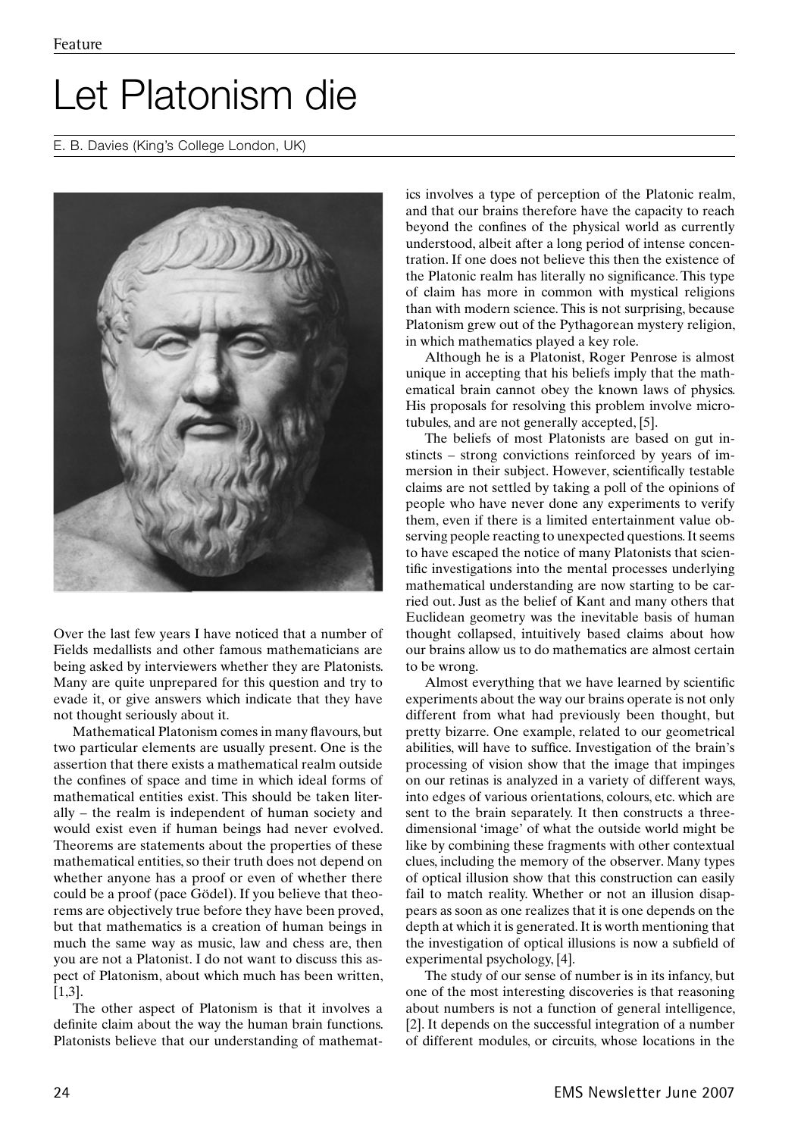## Let Platonism die

## E. B. Davies (King's College London, UK)



Over the last few years I have noticed that a number of Fields medallists and other famous mathematicians are being asked by interviewers whether they are Platonists. Many are quite unprepared for this question and try to evade it, or give answers which indicate that they have not thought seriously about it.

Mathematical Platonism comes in many flavours, but two particular elements are usually present. One is the assertion that there exists a mathematical realm outside the confines of space and time in which ideal forms of mathematical entities exist. This should be taken literally – the realm is independent of human society and would exist even if human beings had never evolved. Theorems are statements about the properties of these mathematical entities, so their truth does not depend on whether anyone has a proof or even of whether there could be a proof (pace Gödel). If you believe that theorems are objectively true before they have been proved, but that mathematics is a creation of human beings in much the same way as music, law and chess are, then you are not a Platonist. I do not want to discuss this aspect of Platonism, about which much has been written, [1,3].

The other aspect of Platonism is that it involves a definite claim about the way the human brain functions. Platonists believe that our understanding of mathematics involves a type of perception of the Platonic realm, and that our brains therefore have the capacity to reach beyond the confines of the physical world as currently understood, albeit after a long period of intense concentration. If one does not believe this then the existence of the Platonic realm has literally no significance. This type of claim has more in common with mystical religions than with modern science. This is not surprising, because Platonism grew out of the Pythagorean mystery religion, in which mathematics played a key role.

Although he is a Platonist, Roger Penrose is almost unique in accepting that his beliefs imply that the mathematical brain cannot obey the known laws of physics. His proposals for resolving this problem involve microtubules, and are not generally accepted, [5].

The beliefs of most Platonists are based on gut instincts – strong convictions reinforced by years of immersion in their subject. However, scientifically testable claims are not settled by taking a poll of the opinions of people who have never done any experiments to verify them, even if there is a limited entertainment value observing people reacting to unexpected questions. It seems to have escaped the notice of many Platonists that scientific investigations into the mental processes underlying mathematical understanding are now starting to be carried out. Just as the belief of Kant and many others that Euclidean geometry was the inevitable basis of human thought collapsed, intuitively based claims about how our brains allow us to do mathematics are almost certain to be wrong.

Almost everything that we have learned by scientific experiments about the way our brains operate is not only different from what had previously been thought, but pretty bizarre. One example, related to our geometrical abilities, will have to suffice. Investigation of the brain's processing of vision show that the image that impinges on our retinas is analyzed in a variety of different ways, into edges of various orientations, colours, etc. which are sent to the brain separately. It then constructs a threedimensional 'image' of what the outside world might be like by combining these fragments with other contextual clues, including the memory of the observer. Many types of optical illusion show that this construction can easily fail to match reality. Whether or not an illusion disappears as soon as one realizes that it is one depends on the depth at which it is generated. It is worth mentioning that the investigation of optical illusions is now a subfield of experimental psychology, [4].

The study of our sense of number is in its infancy, but one of the most interesting discoveries is that reasoning about numbers is not a function of general intelligence, [2]. It depends on the successful integration of a number of different modules, or circuits, whose locations in the